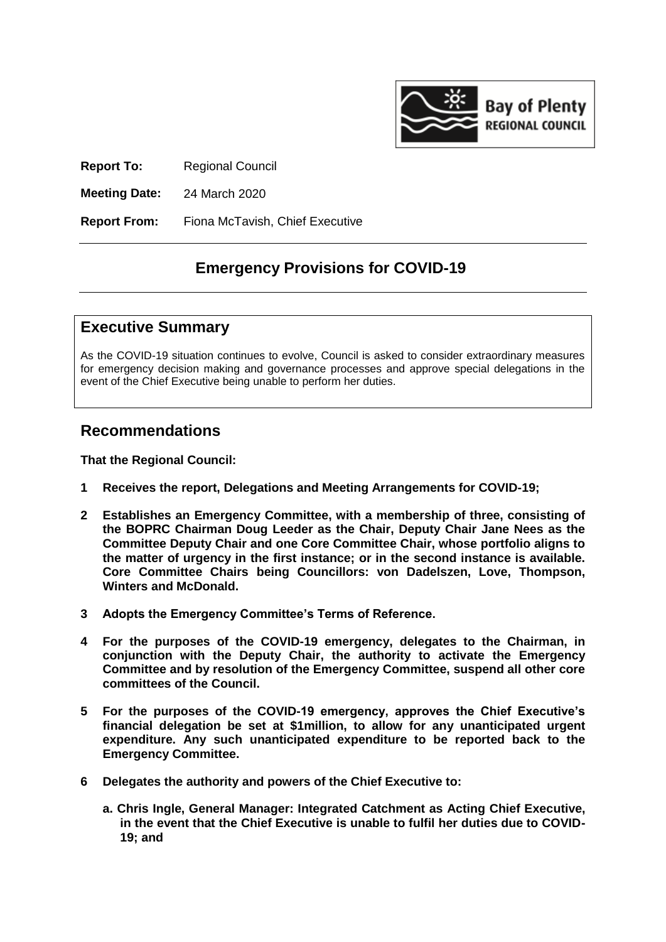

**Report To:** Regional Council

**Meeting Date:** 24 March 2020

**Report From:** Fiona McTavish, Chief Executive

#### **Emergency Provisions for COVID-19**

#### **Executive Summary**

As the COVID-19 situation continues to evolve, Council is asked to consider extraordinary measures for emergency decision making and governance processes and approve special delegations in the event of the Chief Executive being unable to perform her duties.

#### **Recommendations**

**That the Regional Council:**

- **1 Receives the report, Delegations and Meeting Arrangements for COVID-19;**
- **2 Establishes an Emergency Committee, with a membership of three, consisting of the BOPRC Chairman Doug Leeder as the Chair, Deputy Chair Jane Nees as the Committee Deputy Chair and one Core Committee Chair, whose portfolio aligns to the matter of urgency in the first instance; or in the second instance is available. Core Committee Chairs being Councillors: von Dadelszen, Love, Thompson, Winters and McDonald.**
- **3 Adopts the Emergency Committee's Terms of Reference.**
- **4 For the purposes of the COVID-19 emergency, delegates to the Chairman, in conjunction with the Deputy Chair, the authority to activate the Emergency Committee and by resolution of the Emergency Committee, suspend all other core committees of the Council.**
- **5 For the purposes of the COVID-19 emergency, approves the Chief Executive's financial delegation be set at \$1million, to allow for any unanticipated urgent expenditure. Any such unanticipated expenditure to be reported back to the Emergency Committee.**
- **6 Delegates the authority and powers of the Chief Executive to:**
	- **a. Chris Ingle, General Manager: Integrated Catchment as Acting Chief Executive, in the event that the Chief Executive is unable to fulfil her duties due to COVID-19; and**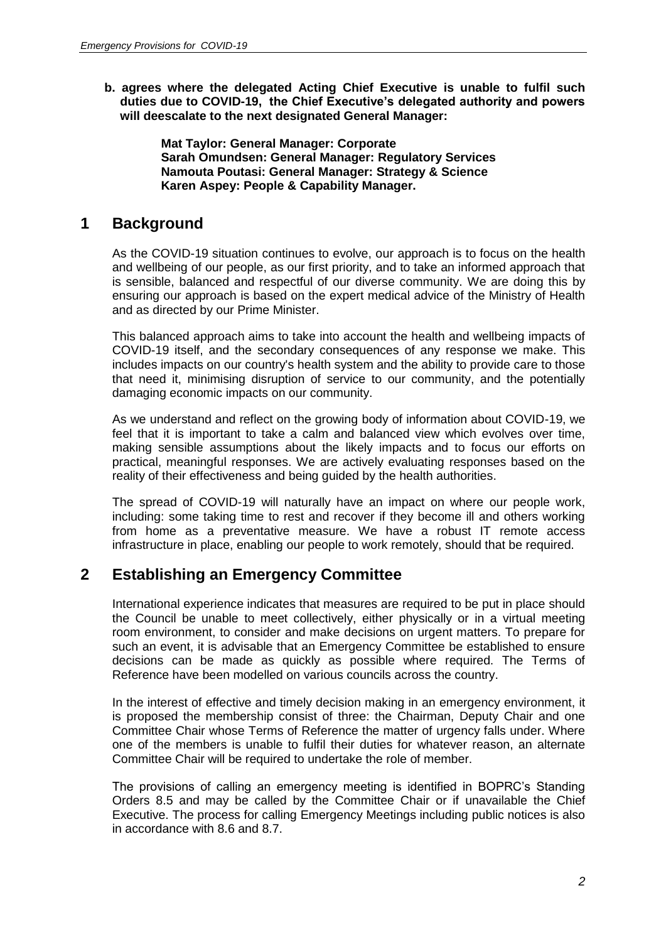**b. agrees where the delegated Acting Chief Executive is unable to fulfil such duties due to COVID-19, the Chief Executive's delegated authority and powers will deescalate to the next designated General Manager:**

> **Mat Taylor: General Manager: Corporate Sarah Omundsen: General Manager: Regulatory Services Namouta Poutasi: General Manager: Strategy & Science Karen Aspey: People & Capability Manager.**

#### **1 Background**

As the COVID-19 situation continues to evolve, our approach is to focus on the health and wellbeing of our people, as our first priority, and to take an informed approach that is sensible, balanced and respectful of our diverse community. We are doing this by ensuring our approach is based on the expert medical advice of the Ministry of Health and as directed by our Prime Minister.

This balanced approach aims to take into account the health and wellbeing impacts of COVID-19 itself, and the secondary consequences of any response we make. This includes impacts on our country's health system and the ability to provide care to those that need it, minimising disruption of service to our community, and the potentially damaging economic impacts on our community.

As we understand and reflect on the growing body of information about COVID-19, we feel that it is important to take a calm and balanced view which evolves over time, making sensible assumptions about the likely impacts and to focus our efforts on practical, meaningful responses. We are actively evaluating responses based on the reality of their effectiveness and being guided by the health authorities.

The spread of COVID-19 will naturally have an impact on where our people work, including: some taking time to rest and recover if they become ill and others working from home as a preventative measure. We have a robust IT remote access infrastructure in place, enabling our people to work remotely, should that be required.

#### **2 Establishing an Emergency Committee**

International experience indicates that measures are required to be put in place should the Council be unable to meet collectively, either physically or in a virtual meeting room environment, to consider and make decisions on urgent matters. To prepare for such an event, it is advisable that an Emergency Committee be established to ensure decisions can be made as quickly as possible where required. The Terms of Reference have been modelled on various councils across the country.

In the interest of effective and timely decision making in an emergency environment, it is proposed the membership consist of three: the Chairman, Deputy Chair and one Committee Chair whose Terms of Reference the matter of urgency falls under. Where one of the members is unable to fulfil their duties for whatever reason, an alternate Committee Chair will be required to undertake the role of member.

The provisions of calling an emergency meeting is identified in BOPRC's Standing Orders 8.5 and may be called by the Committee Chair or if unavailable the Chief Executive. The process for calling Emergency Meetings including public notices is also in accordance with 8.6 and 8.7.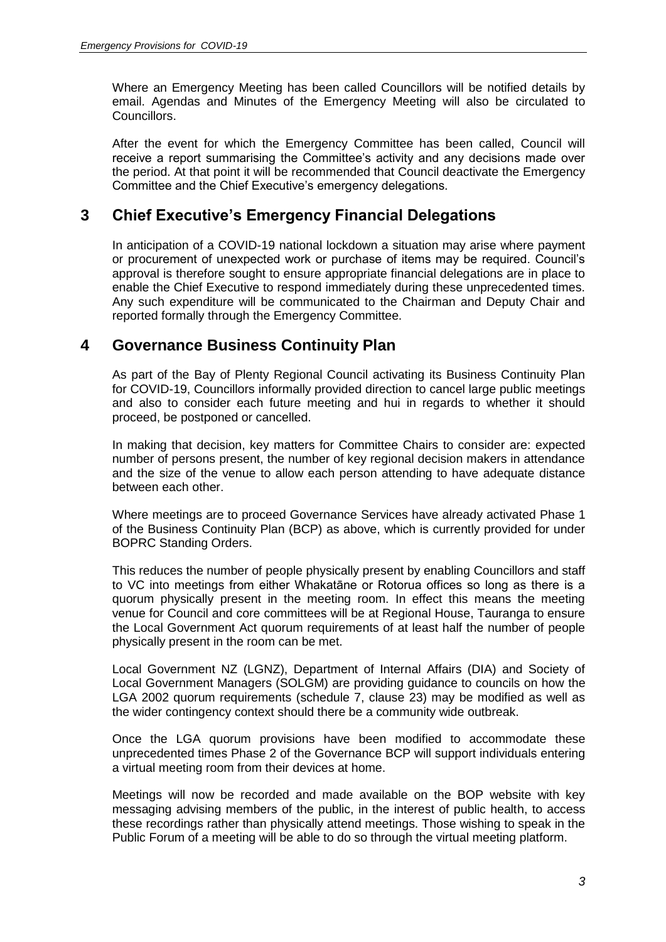Where an Emergency Meeting has been called Councillors will be notified details by email. Agendas and Minutes of the Emergency Meeting will also be circulated to Councillors.

After the event for which the Emergency Committee has been called, Council will receive a report summarising the Committee's activity and any decisions made over the period. At that point it will be recommended that Council deactivate the Emergency Committee and the Chief Executive's emergency delegations.

#### **3 Chief Executive's Emergency Financial Delegations**

In anticipation of a COVID-19 national lockdown a situation may arise where payment or procurement of unexpected work or purchase of items may be required. Council's approval is therefore sought to ensure appropriate financial delegations are in place to enable the Chief Executive to respond immediately during these unprecedented times. Any such expenditure will be communicated to the Chairman and Deputy Chair and reported formally through the Emergency Committee.

#### **4 Governance Business Continuity Plan**

As part of the Bay of Plenty Regional Council activating its Business Continuity Plan for COVID-19, Councillors informally provided direction to cancel large public meetings and also to consider each future meeting and hui in regards to whether it should proceed, be postponed or cancelled.

In making that decision, key matters for Committee Chairs to consider are: expected number of persons present, the number of key regional decision makers in attendance and the size of the venue to allow each person attending to have adequate distance between each other.

Where meetings are to proceed Governance Services have already activated Phase 1 of the Business Continuity Plan (BCP) as above, which is currently provided for under BOPRC Standing Orders.

This reduces the number of people physically present by enabling Councillors and staff to VC into meetings from either Whakatāne or Rotorua offices so long as there is a quorum physically present in the meeting room. In effect this means the meeting venue for Council and core committees will be at Regional House, Tauranga to ensure the Local Government Act quorum requirements of at least half the number of people physically present in the room can be met.

Local Government NZ (LGNZ), Department of Internal Affairs (DIA) and Society of Local Government Managers (SOLGM) are providing guidance to councils on how the LGA 2002 quorum requirements (schedule 7, clause 23) may be modified as well as the wider contingency context should there be a community wide outbreak.

Once the LGA quorum provisions have been modified to accommodate these unprecedented times Phase 2 of the Governance BCP will support individuals entering a virtual meeting room from their devices at home.

Meetings will now be recorded and made available on the BOP website with key messaging advising members of the public, in the interest of public health, to access these recordings rather than physically attend meetings. Those wishing to speak in the Public Forum of a meeting will be able to do so through the virtual meeting platform.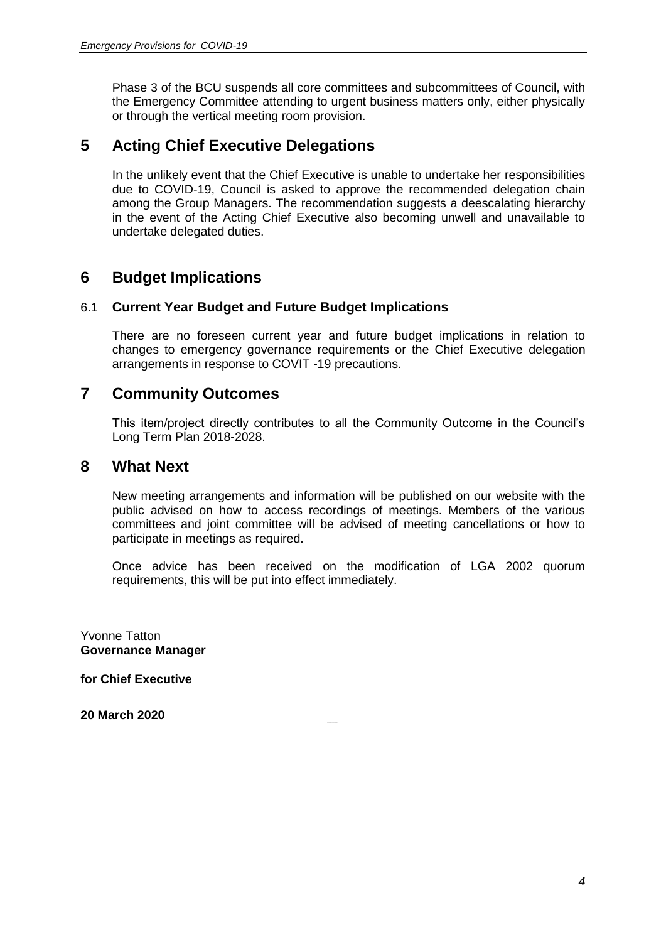Phase 3 of the BCU suspends all core committees and subcommittees of Council, with the Emergency Committee attending to urgent business matters only, either physically or through the vertical meeting room provision.

#### **5 Acting Chief Executive Delegations**

In the unlikely event that the Chief Executive is unable to undertake her responsibilities due to COVID-19, Council is asked to approve the recommended delegation chain among the Group Managers. The recommendation suggests a deescalating hierarchy in the event of the Acting Chief Executive also becoming unwell and unavailable to undertake delegated duties.

#### **6 Budget Implications**

#### 6.1 **Current Year Budget and Future Budget Implications**

There are no foreseen current year and future budget implications in relation to changes to emergency governance requirements or the Chief Executive delegation arrangements in response to COVIT -19 precautions.

#### **7 Community Outcomes**

This item/project directly contributes to all the Community Outcome in the Council's Long Term Plan 2018-2028.

#### **8 What Next**

New meeting arrangements and information will be published on our website with the public advised on how to access recordings of meetings. Members of the various committees and joint committee will be advised of meeting cancellations or how to participate in meetings as required.

Once advice has been received on the modification of LGA 2002 quorum requirements, this will be put into effect immediately.

Yvonne Tatton **Governance Manager**

**for Chief Executive**

**20 March 2020**